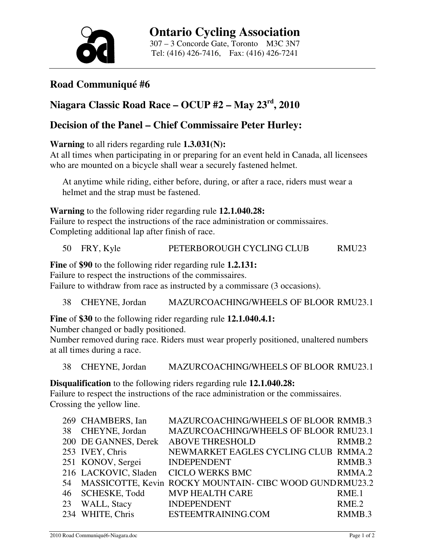

## **Road Communiqué #6**

# **Niagara Classic Road Race – OCUP #2 – May 23rd, 2010**

### **Decision of the Panel – Chief Commissaire Peter Hurley:**

#### **Warning** to all riders regarding rule **1.3.031(N):**

At all times when participating in or preparing for an event held in Canada, all licensees who are mounted on a bicycle shall wear a securely fastened helmet.

At anytime while riding, either before, during, or after a race, riders must wear a helmet and the strap must be fastened.

**Warning** to the following rider regarding rule **12.1.040.28:** 

Failure to respect the instructions of the race administration or commissaires. Completing additional lap after finish of race.

50 FRY, Kyle PETERBOROUGH CYCLING CLUB RMU23

**Fine** of **\$90** to the following rider regarding rule **1.2.131:** 

Failure to respect the instructions of the commissaires.

Failure to withdraw from race as instructed by a commissare (3 occasions).

38 CHEYNE, Jordan MAZURCOACHING/WHEELS OF BLOOR RMU23.1

**Fine** of **\$30** to the following rider regarding rule **12.1.040.4.1:** 

Number changed or badly positioned.

Number removed during race. Riders must wear properly positioned, unaltered numbers at all times during a race.

38 CHEYNE, Jordan MAZURCOACHING/WHEELS OF BLOOR RMU23.1

**Disqualification** to the following riders regarding rule **12.1.040.28:** 

Failure to respect the instructions of the race administration or the commissaires. Crossing the yellow line.

|    | 269 CHAMBERS, Ian    | MAZURCOACHING/WHEELS OF BLOOR RMMB.3                    |                    |
|----|----------------------|---------------------------------------------------------|--------------------|
| 38 | CHEYNE, Jordan       | MAZURCOACHING/WHEELS OF BLOOR RMU23.1                   |                    |
|    | 200 DE GANNES, Derek | <b>ABOVE THRESHOLD</b>                                  | RMMB.2             |
|    | 253 IVEY, Chris      | NEWMARKET EAGLES CYCLING CLUB RMMA.2                    |                    |
|    | 251 KONOV, Sergei    | <b>INDEPENDENT</b>                                      | RMMB.3             |
|    | 216 LACKOVIC, Sladen | <b>CICLO WERKS BMC</b>                                  | RMMA.2             |
| 54 |                      | MASSICOTTE, Kevin ROCKY MOUNTAIN- CIBC WOOD GUNDRMU23.2 |                    |
| 46 | <b>SCHESKE, Todd</b> | <b>MVP HEALTH CARE</b>                                  | RME.1              |
| 23 | WALL, Stacy          | <b>INDEPENDENT</b>                                      | RME.2              |
|    | 234 WHITE, Chris     | ESTEEMTRAINING.COM                                      | RMMB <sub>.3</sub> |